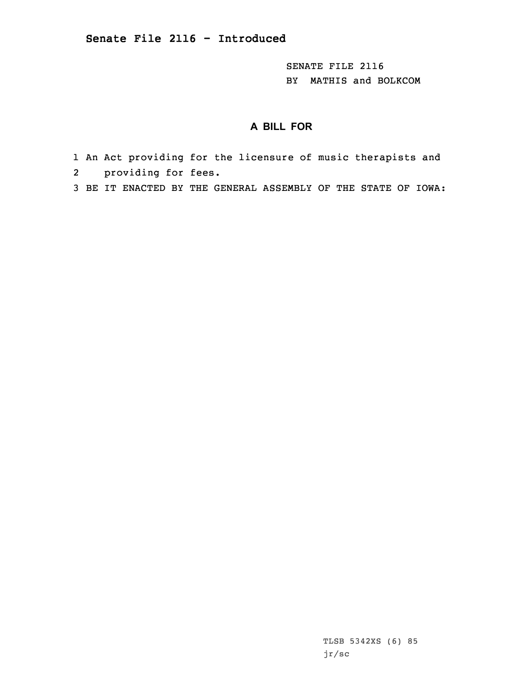SENATE FILE 2116 BY MATHIS and BOLKCOM

# **A BILL FOR**

- 1 An Act providing for the licensure of music therapists and
- 2 providing for fees.
- 3 BE IT ENACTED BY THE GENERAL ASSEMBLY OF THE STATE OF IOWA:

TLSB 5342XS (6) 85 jr/sc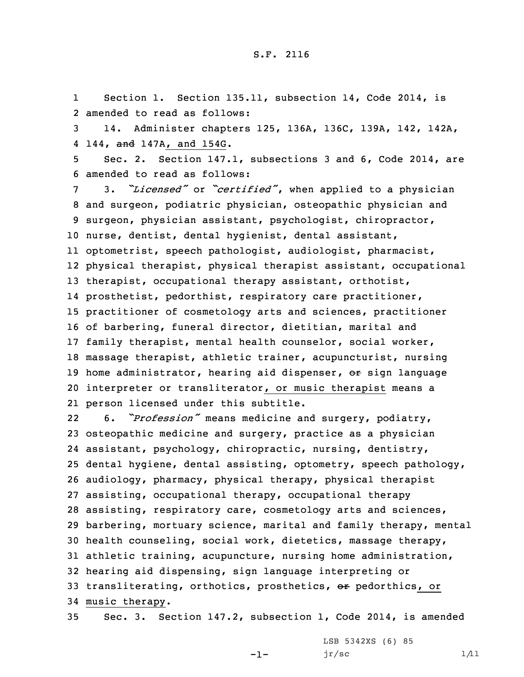1Section 1. Section 135.11, subsection 14, Code 2014, is 2 amended to read as follows:

3 14. Administer chapters 125, 136A, 136C, 139A, 142, 142A, 4 144, <del>and</del> 147A, and 154G.

5 Sec. 2. Section 147.1, subsections 3 and 6, Code 2014, are 6 amended to read as follows:

 3. *"Licensed"* or *"certified"*, when applied to <sup>a</sup> physician and surgeon, podiatric physician, osteopathic physician and surgeon, physician assistant, psychologist, chiropractor, nurse, dentist, dental hygienist, dental assistant, optometrist, speech pathologist, audiologist, pharmacist, physical therapist, physical therapist assistant, occupational therapist, occupational therapy assistant, orthotist, prosthetist, pedorthist, respiratory care practitioner, practitioner of cosmetology arts and sciences, practitioner of barbering, funeral director, dietitian, marital and family therapist, mental health counselor, social worker, massage therapist, athletic trainer, acupuncturist, nursing 19 home administrator, hearing aid dispenser,  $\Theta$ r sign language interpreter or transliterator, or music therapist means <sup>a</sup> person licensed under this subtitle.

22 6. *"Profession"* means medicine and surgery, podiatry, osteopathic medicine and surgery, practice as <sup>a</sup> physician assistant, psychology, chiropractic, nursing, dentistry, dental hygiene, dental assisting, optometry, speech pathology, audiology, pharmacy, physical therapy, physical therapist assisting, occupational therapy, occupational therapy assisting, respiratory care, cosmetology arts and sciences, barbering, mortuary science, marital and family therapy, mental health counseling, social work, dietetics, massage therapy, athletic training, acupuncture, nursing home administration, hearing aid dispensing, sign language interpreting or 33 transliterating, orthotics, prosthetics, or pedorthics, or music therapy.

35 Sec. 3. Section 147.2, subsection 1, Code 2014, is amended

-1-

LSB 5342XS (6) 85  $jr/sec$  1/11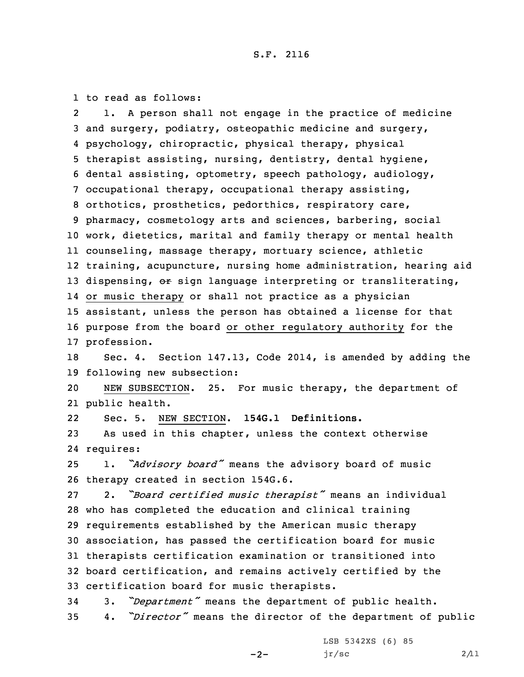1 to read as follows:

2 1. <sup>A</sup> person shall not engage in the practice of medicine and surgery, podiatry, osteopathic medicine and surgery, psychology, chiropractic, physical therapy, physical therapist assisting, nursing, dentistry, dental hygiene, dental assisting, optometry, speech pathology, audiology, occupational therapy, occupational therapy assisting, orthotics, prosthetics, pedorthics, respiratory care, pharmacy, cosmetology arts and sciences, barbering, social work, dietetics, marital and family therapy or mental health counseling, massage therapy, mortuary science, athletic training, acupuncture, nursing home administration, hearing aid 13 dispensing, or sign language interpreting or transliterating, or music therapy or shall not practice as <sup>a</sup> physician assistant, unless the person has obtained <sup>a</sup> license for that purpose from the board or other regulatory authority for the profession. Sec. 4. Section 147.13, Code 2014, is amended by adding the following new subsection:

20 NEW SUBSECTION. 25. For music therapy, the department of 21 public health.

22Sec. 5. NEW SECTION. **154G.1 Definitions.**

23 As used in this chapter, unless the context otherwise 24 requires:

<sup>25</sup> 1. *"Advisory board"* means the advisory board of music 26 therapy created in section 154G.6.

 2. *"Board certified music therapist"* means an individual who has completed the education and clinical training requirements established by the American music therapy association, has passed the certification board for music therapists certification examination or transitioned into board certification, and remains actively certified by the certification board for music therapists.

<sup>34</sup> 3. *"Department"* means the department of public health. <sup>35</sup> 4. *"Director"* means the director of the department of public

 $-2-$ 

LSB 5342XS (6) 85  $jr/sec$  2/11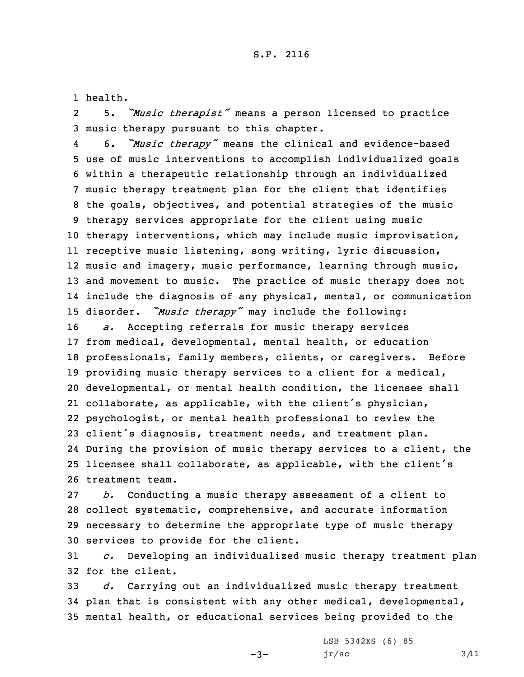1 health.

2 5. *"Music therapist"* means <sup>a</sup> person licensed to practice 3 music therapy pursuant to this chapter.

4 6. *"Music therapy"* means the clinical and evidence-based use of music interventions to accomplish individualized goals within <sup>a</sup> therapeutic relationship through an individualized music therapy treatment plan for the client that identifies the goals, objectives, and potential strategies of the music therapy services appropriate for the client using music therapy interventions, which may include music improvisation, receptive music listening, song writing, lyric discussion, 12 music and imagery, music performance, learning through music, and movement to music. The practice of music therapy does not include the diagnosis of any physical, mental, or communication disorder. *"Music therapy"* may include the following: *a.* Accepting referrals for music therapy services from medical, developmental, mental health, or education professionals, family members, clients, or caregivers. Before providing music therapy services to <sup>a</sup> client for <sup>a</sup> medical, developmental, or mental health condition, the licensee shall collaborate, as applicable, with the client's physician, psychologist, or mental health professional to review the client's diagnosis, treatment needs, and treatment plan.

24 During the provision of music therapy services to <sup>a</sup> client, the <sup>25</sup> licensee shall collaborate, as applicable, with the client's 26 treatment team.

 *b.* Conducting <sup>a</sup> music therapy assessment of <sup>a</sup> client to collect systematic, comprehensive, and accurate information necessary to determine the appropriate type of music therapy services to provide for the client.

31 *c.* Developing an individualized music therapy treatment plan 32 for the client.

33 *d.* Carrying out an individualized music therapy treatment 34 plan that is consistent with any other medical, developmental, 35 mental health, or educational services being provided to the

 $-3-$ 

LSB 5342XS (6) 85  $jr/sec$  3/11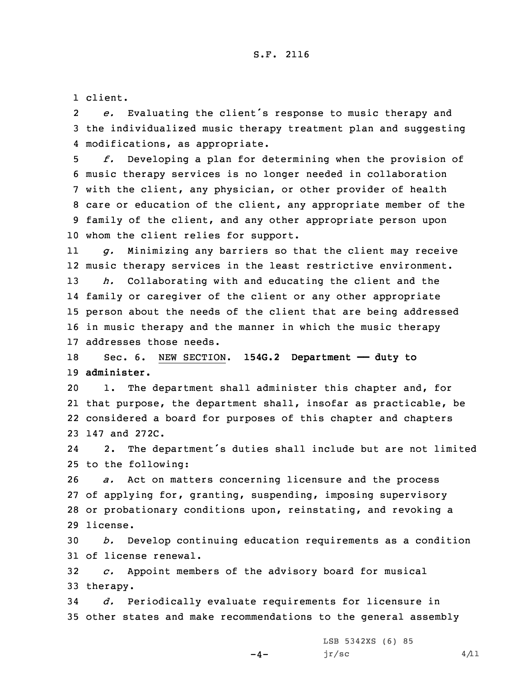1 client.

2 *e.* Evaluating the client's response to music therapy and 3 the individualized music therapy treatment plan and suggesting 4 modifications, as appropriate.

 *f.* Developing <sup>a</sup> plan for determining when the provision of music therapy services is no longer needed in collaboration with the client, any physician, or other provider of health care or education of the client, any appropriate member of the family of the client, and any other appropriate person upon whom the client relies for support.

11 *g.* Minimizing any barriers so that the client may receive 12 music therapy services in the least restrictive environment. 13 *h.* Collaborating with and educating the client and the 14 family or caregiver of the client or any other appropriate

15 person about the needs of the client that are being addressed 16 in music therapy and the manner in which the music therapy 17 addresses those needs.

18 Sec. 6. NEW SECTION. **154G.2 Department —— duty to** 19 **administer.**

 1. The department shall administer this chapter and, for that purpose, the department shall, insofar as practicable, be considered <sup>a</sup> board for purposes of this chapter and chapters 147 and 272C.

24 2. The department's duties shall include but are not limited 25 to the following:

 *a.* Act on matters concerning licensure and the process of applying for, granting, suspending, imposing supervisory or probationary conditions upon, reinstating, and revoking <sup>a</sup> 29 license.

30 *b.* Develop continuing education requirements as <sup>a</sup> condition 31 of license renewal.

32 *c.* Appoint members of the advisory board for musical 33 therapy.

34 *d.* Periodically evaluate requirements for licensure in 35 other states and make recommendations to the general assembly

 $-4-$ 

LSB 5342XS (6) 85  $jr/sec$  4/11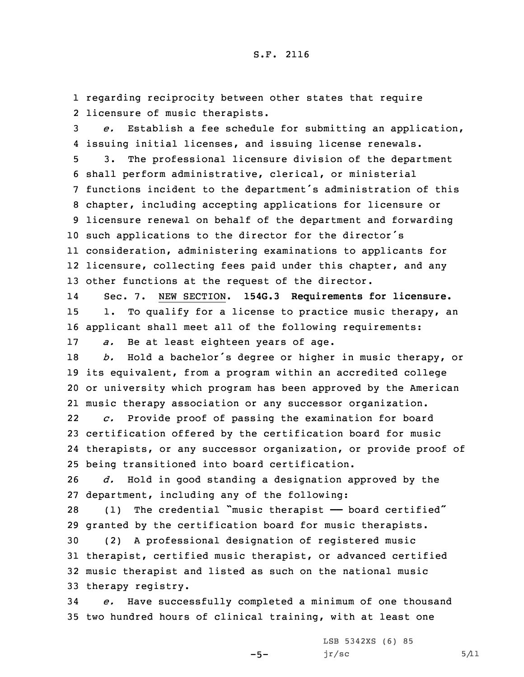1 regarding reciprocity between other states that require 2 licensure of music therapists.

3 *e.* Establish <sup>a</sup> fee schedule for submitting an application, 4 issuing initial licenses, and issuing license renewals.

 3. The professional licensure division of the department shall perform administrative, clerical, or ministerial functions incident to the department's administration of this chapter, including accepting applications for licensure or licensure renewal on behalf of the department and forwarding such applications to the director for the director's consideration, administering examinations to applicants for licensure, collecting fees paid under this chapter, and any other functions at the request of the director.

14 Sec. 7. NEW SECTION. **154G.3 Requirements for licensure.** 15 1. To qualify for <sup>a</sup> license to practice music therapy, an 16 applicant shall meet all of the following requirements: 17 *a.* Be at least eighteen years of age.

 *b.* Hold <sup>a</sup> bachelor's degree or higher in music therapy, or its equivalent, from <sup>a</sup> program within an accredited college or university which program has been approved by the American music therapy association or any successor organization.

22 *c.* Provide proof of passing the examination for board 23 certification offered by the certification board for music 24 therapists, or any successor organization, or provide proof of 25 being transitioned into board certification.

26 *d.* Hold in good standing <sup>a</sup> designation approved by the 27 department, including any of the following:

28 (1) The credential "music therapist - board certified" 29 granted by the certification board for music therapists.

 (2) <sup>A</sup> professional designation of registered music therapist, certified music therapist, or advanced certified music therapist and listed as such on the national music therapy registry.

34 *e.* Have successfully completed <sup>a</sup> minimum of one thousand 35 two hundred hours of clinical training, with at least one

 $-5-$ 

LSB 5342XS (6) 85  $jr/sec$  5/11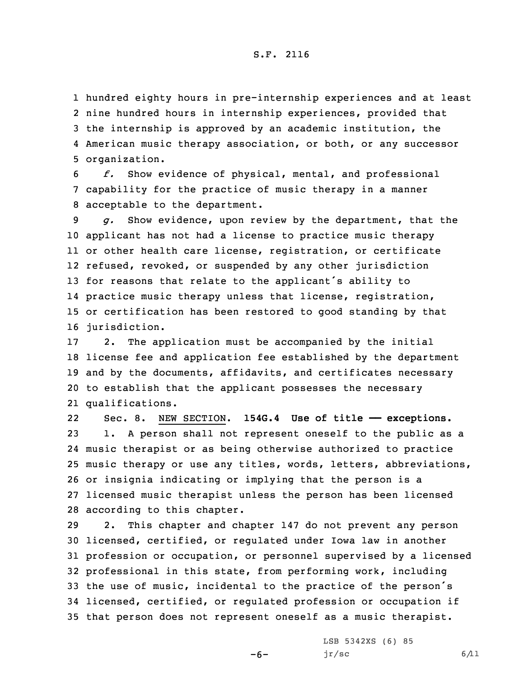hundred eighty hours in pre-internship experiences and at least nine hundred hours in internship experiences, provided that the internship is approved by an academic institution, the American music therapy association, or both, or any successor organization.

6 *f.* Show evidence of physical, mental, and professional 7 capability for the practice of music therapy in <sup>a</sup> manner 8 acceptable to the department.

 *g.* Show evidence, upon review by the department, that the applicant has not had <sup>a</sup> license to practice music therapy or other health care license, registration, or certificate refused, revoked, or suspended by any other jurisdiction for reasons that relate to the applicant's ability to practice music therapy unless that license, registration, or certification has been restored to good standing by that jurisdiction.

 2. The application must be accompanied by the initial license fee and application fee established by the department and by the documents, affidavits, and certificates necessary to establish that the applicant possesses the necessary qualifications.

22 Sec. 8. NEW SECTION. **154G.4 Use of title —— exceptions.** 1. <sup>A</sup> person shall not represent oneself to the public as <sup>a</sup> music therapist or as being otherwise authorized to practice music therapy or use any titles, words, letters, abbreviations, or insignia indicating or implying that the person is <sup>a</sup> licensed music therapist unless the person has been licensed according to this chapter.

 2. This chapter and chapter 147 do not prevent any person licensed, certified, or regulated under Iowa law in another profession or occupation, or personnel supervised by <sup>a</sup> licensed professional in this state, from performing work, including the use of music, incidental to the practice of the person's licensed, certified, or regulated profession or occupation if that person does not represent oneself as <sup>a</sup> music therapist.

 $-6-$ 

LSB 5342XS (6) 85  $jr/sec$  6/11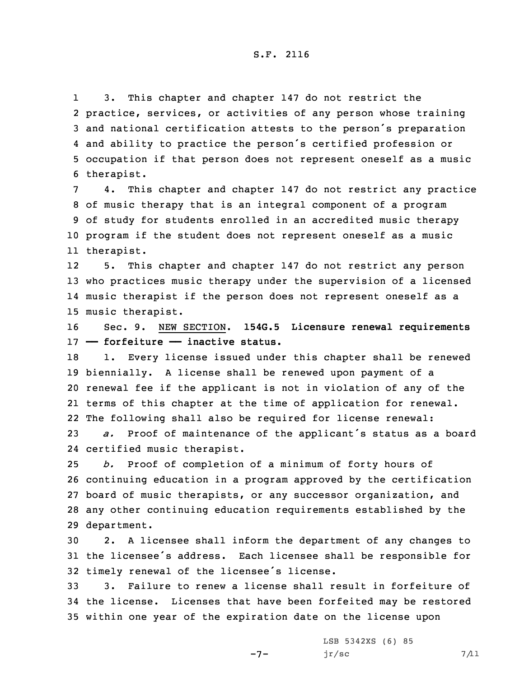1 3. This chapter and chapter 147 do not restrict the practice, services, or activities of any person whose training and national certification attests to the person's preparation and ability to practice the person's certified profession or occupation if that person does not represent oneself as <sup>a</sup> music therapist.

 4. This chapter and chapter 147 do not restrict any practice of music therapy that is an integral component of <sup>a</sup> program of study for students enrolled in an accredited music therapy program if the student does not represent oneself as <sup>a</sup> music therapist.

12 5. This chapter and chapter 147 do not restrict any person 13 who practices music therapy under the supervision of <sup>a</sup> licensed 14 music therapist if the person does not represent oneself as <sup>a</sup> 15 music therapist.

16 Sec. 9. NEW SECTION. **154G.5 Licensure renewal requirements** 17 **—— forfeiture —— inactive status.**

18 1. Every license issued under this chapter shall be renewed biennially. <sup>A</sup> license shall be renewed upon payment of <sup>a</sup> renewal fee if the applicant is not in violation of any of the terms of this chapter at the time of application for renewal. The following shall also be required for license renewal:

<sup>23</sup> *a.* Proof of maintenance of the applicant's status as <sup>a</sup> board 24 certified music therapist.

 *b.* Proof of completion of <sup>a</sup> minimum of forty hours of continuing education in <sup>a</sup> program approved by the certification board of music therapists, or any successor organization, and any other continuing education requirements established by the department.

30 2. <sup>A</sup> licensee shall inform the department of any changes to <sup>31</sup> the licensee's address. Each licensee shall be responsible for <sup>32</sup> timely renewal of the licensee's license.

33 3. Failure to renew <sup>a</sup> license shall result in forfeiture of 34 the license. Licenses that have been forfeited may be restored 35 within one year of the expiration date on the license upon

 $-7-$ 

LSB 5342XS (6) 85  $jr/sec$  7/11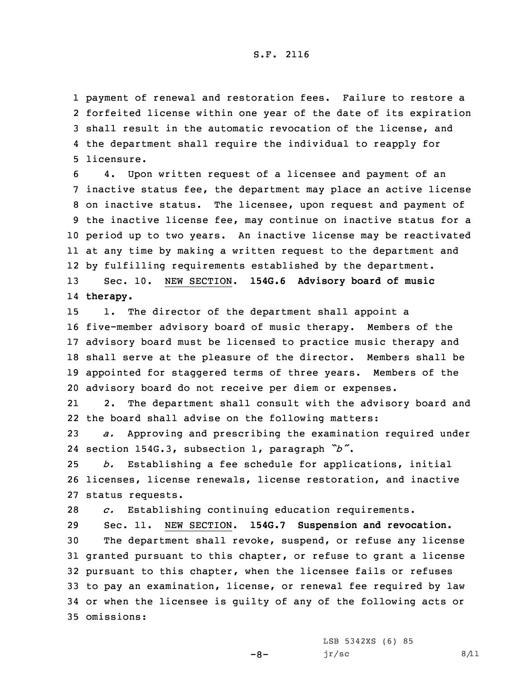payment of renewal and restoration fees. Failure to restore <sup>a</sup> forfeited license within one year of the date of its expiration shall result in the automatic revocation of the license, and the department shall require the individual to reapply for licensure.

 4. Upon written request of <sup>a</sup> licensee and payment of an inactive status fee, the department may place an active license on inactive status. The licensee, upon request and payment of the inactive license fee, may continue on inactive status for <sup>a</sup> period up to two years. An inactive license may be reactivated at any time by making <sup>a</sup> written request to the department and by fulfilling requirements established by the department. Sec. 10. NEW SECTION. **154G.6 Advisory board of music** 14 **therapy.**

 1. The director of the department shall appoint <sup>a</sup> five-member advisory board of music therapy. Members of the advisory board must be licensed to practice music therapy and shall serve at the pleasure of the director. Members shall be appointed for staggered terms of three years. Members of the advisory board do not receive per diem or expenses.

21 2. The department shall consult with the advisory board and 22 the board shall advise on the following matters:

23 *a.* Approving and prescribing the examination required under 24 section 154G.3, subsection 1, paragraph *"b"*.

25 *b.* Establishing <sup>a</sup> fee schedule for applications, initial 26 licenses, license renewals, license restoration, and inactive 27 status requests.

28 *c.* Establishing continuing education requirements.

 Sec. 11. NEW SECTION. **154G.7 Suspension and revocation.** The department shall revoke, suspend, or refuse any license granted pursuant to this chapter, or refuse to grant <sup>a</sup> license pursuant to this chapter, when the licensee fails or refuses to pay an examination, license, or renewal fee required by law or when the licensee is guilty of any of the following acts or omissions:

-8-

LSB 5342XS (6) 85  $jr/sec$  8/11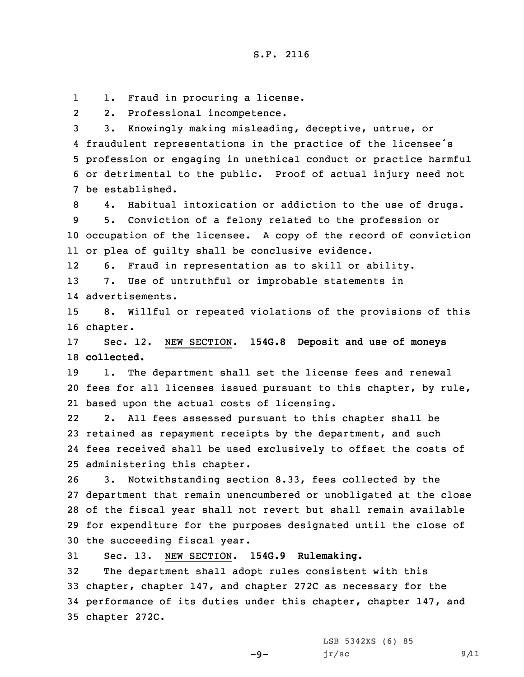11. Fraud in procuring <sup>a</sup> license.

22. Professional incompetence.

 3. Knowingly making misleading, deceptive, untrue, or fraudulent representations in the practice of the licensee's profession or engaging in unethical conduct or practice harmful or detrimental to the public. Proof of actual injury need not be established.

 4. Habitual intoxication or addiction to the use of drugs. 5. Conviction of <sup>a</sup> felony related to the profession or occupation of the licensee. <sup>A</sup> copy of the record of conviction or plea of guilty shall be conclusive evidence.

126. Fraud in representation as to skill or ability.

13 7. Use of untruthful or improbable statements in

14 advertisements.

15 8. Willful or repeated violations of the provisions of this 16 chapter.

17 Sec. 12. NEW SECTION. **154G.8 Deposit and use of moneys** 18 **collected.**

19 1. The department shall set the license fees and renewal 20 fees for all licenses issued pursuant to this chapter, by rule, 21 based upon the actual costs of licensing.

22 2. All fees assessed pursuant to this chapter shall be 23 retained as repayment receipts by the department, and such 24 fees received shall be used exclusively to offset the costs of 25 administering this chapter.

 3. Notwithstanding section 8.33, fees collected by the department that remain unencumbered or unobligated at the close of the fiscal year shall not revert but shall remain available for expenditure for the purposes designated until the close of the succeeding fiscal year.

31 Sec. 13. NEW SECTION. **154G.9 Rulemaking.**

 The department shall adopt rules consistent with this chapter, chapter 147, and chapter 272C as necessary for the performance of its duties under this chapter, chapter 147, and chapter 272C.

-9-

LSB 5342XS (6) 85  $jr/sec$  9/11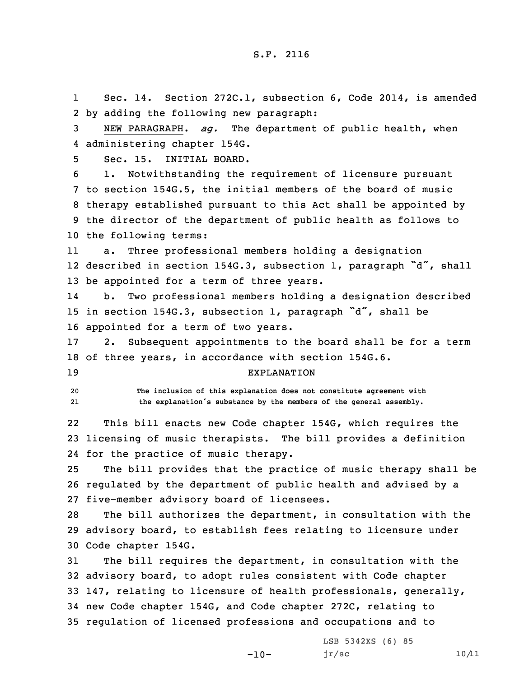1 Sec. 14. Section 272C.1, subsection 6, Code 2014, is amended 2 by adding the following new paragraph:

3 NEW PARAGRAPH. *ag.* The department of public health, when 4 administering chapter 154G.

5 Sec. 15. INITIAL BOARD.

 1. Notwithstanding the requirement of licensure pursuant to section 154G.5, the initial members of the board of music therapy established pursuant to this Act shall be appointed by the director of the department of public health as follows to the following terms:

11 a. Three professional members holding <sup>a</sup> designation 12 described in section 154G.3, subsection 1, paragraph "d", shall 13 be appointed for <sup>a</sup> term of three years.

14 b. Two professional members holding <sup>a</sup> designation described <sup>15</sup> in section 154G.3, subsection 1, paragraph "d", shall be 16 appointed for <sup>a</sup> term of two years.

17 2. Subsequent appointments to the board shall be for <sup>a</sup> term 18 of three years, in accordance with section 154G.6.

## 19 EXPLANATION

20 **The inclusion of this explanation does not constitute agreement with** 21**the explanation's substance by the members of the general assembly.**

22 This bill enacts new Code chapter 154G, which requires the 23 licensing of music therapists. The bill provides <sup>a</sup> definition 24 for the practice of music therapy.

25 The bill provides that the practice of music therapy shall be 26 regulated by the department of public health and advised by <sup>a</sup> 27 five-member advisory board of licensees.

28 The bill authorizes the department, in consultation with the 29 advisory board, to establish fees relating to licensure under 30 Code chapter 154G.

 The bill requires the department, in consultation with the advisory board, to adopt rules consistent with Code chapter 147, relating to licensure of health professionals, generally, new Code chapter 154G, and Code chapter 272C, relating to regulation of licensed professions and occupations and to

 $-10-$ 

LSB 5342XS (6) 85  $jr/sec$  10/11